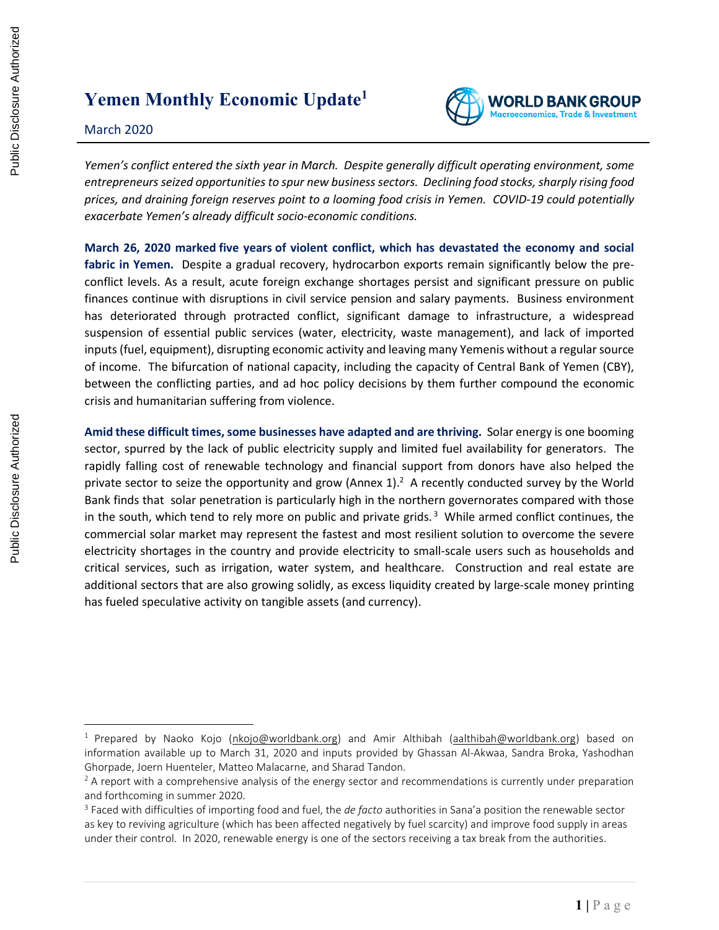# **Yemen Monthly Economic Update<sup>1</sup>**

### March 2020



*Yemen's conflict entered the sixth year in March. Despite generally difficult operating environment, some entrepreneurs seized opportunities to spur new business sectors. Declining food stocks, sharply rising food prices, and draining foreign reserves point to a looming food crisis in Yemen. COVID-19 could potentially exacerbate Yemen's already difficult socio-economic conditions.* 

**March 26, 2020 marked five [years](https://english.alaraby.co.uk/english/Comment/2020/3/27/Three-big-lessons-from-Yemens-five-years-of-war) of violent conflict, which has devastated the economy and social fabric in Yemen.** Despite a gradual recovery, hydrocarbon exports remain significantly below the preconflict levels. As a result, acute foreign exchange shortages persist and significant pressure on public finances continue with disruptions in civil service pension and salary payments. Business environment has deteriorated through protracted conflict, significant damage to infrastructure, a widespread suspension of essential public services (water, electricity, waste management), and lack of imported inputs (fuel, equipment), disrupting economic activity and leaving many Yemenis without a regular source of income. The bifurcation of national capacity, including the capacity of Central Bank of Yemen (CBY), between the conflicting parties, and ad hoc policy decisions by them further compound the economic crisis and humanitarian suffering from violence.

**Amid these difficult times,some businesses have adapted and are thriving.** Solar energy is one booming sector, spurred by the lack of public electricity supply and limited fuel availability for generators. The rapidly falling cost of renewable technology and financial support from donors have also helped the private sector to seize the opportunity and grow (Annex 1).<sup>2</sup> A recently conducted survey by the World Bank finds that solar penetration is particularly high in the northern governorates compared with those in the south, which tend to rely more on public and private grids.<sup>3</sup> While armed conflict continues, the commercial solar market may represent the fastest and most resilient solution to overcome the severe electricity shortages in the country and provide electricity to small-scale users such as households and critical services, such as irrigation, water system, and healthcare. Construction and real estate are additional sectors that are also growing solidly, as excess liquidity created by large-scale money printing has fueled speculative activity on tangible assets (and currency). **EXERCISE THE SECTION CONSULTER CONSULTER CONSULTER CONSULTER CONSULTER CONSULTER CONSULTER CONSULTER CONSULTER CONSULTER CONSULTER CONSULTER CONSULTER CONSULTER CONSULTER CONSULTER CONSULTER CONSULTER CONSULTER CONSULTER** 

<sup>&</sup>lt;sup>1</sup> Prepared by Naoko Kojo [\(nkojo@worldbank.org\)](mailto:nkojo@worldbank.org) and Amir Althibah [\(aalthibah@worldbank.org\)](mailto:aalthibah@worldbank.org) based on information available up to March 31, 2020 and inputs provided by Ghassan Al-Akwaa, Sandra Broka, Yashodhan Ghorpade, Joern Huenteler, Matteo Malacarne, and Sharad Tandon.

 $2A$  report with a comprehensive analysis of the energy sector and recommendations is currently under preparation and forthcoming in summer 2020.

<sup>3</sup> Faced with difficulties of importing food and fuel, the *de facto* authorities in Sana'a position the renewable sector as key to reviving agriculture (which has been affected negatively by fuel scarcity) and improve food supply in areas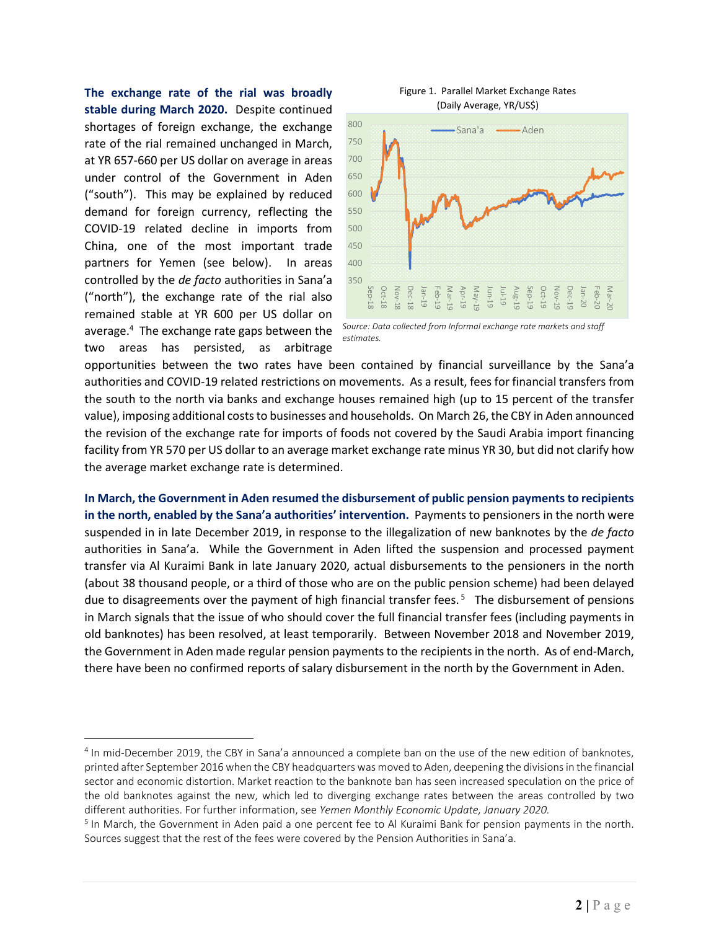**The exchange rate of the rial was broadly stable during March 2020.** Despite continued shortages of foreign exchange, the exchange rate of the rial remained unchanged in March, at YR 657-660 per US dollar on average in areas under control of the Government in Aden ("south"). This may be explained by reduced demand for foreign currency, reflecting the COVID-19 related decline in imports from China, one of the most important trade partners for Yemen (see below). In areas controlled by the *de facto* authorities in Sana'a ("north"), the exchange rate of the rial also remained stable at YR 600 per US dollar on average. <sup>4</sup> The exchange rate gaps between the two areas has persisted, as arbitrage



Figure 1. Parallel Market Exchange Rates (Daily Average, YR/US\$)

opportunities between the two rates have been contained by financial surveillance by the Sana'a authorities and COVID-19 related restrictions on movements. As a result, fees for financial transfers from the south to the north via banks and exchange houses remained high (up to 15 percent of the transfer value), imposing additional coststo businesses and households. On March 26, the CBY in Aden announced the revision of the exchange rate for imports of foods not covered by the Saudi Arabia import financing facility from YR 570 per US dollar to an average market exchange rate minus YR 30, but did not clarify how the average market exchange rate is determined.

**In March, the Government in Aden resumed the disbursement of public pension payments to recipients in the north, enabled by the Sana'a authorities' intervention.** Payments to pensioners in the north were suspended in in late December 2019, in response to the illegalization of new banknotes by the *de facto* authorities in Sana'a. While the Government in Aden lifted the suspension and processed payment transfer via Al Kuraimi Bank in late January 2020, actual disbursements to the pensioners in the north (about 38 thousand people, or a third of those who are on the public pension scheme) had been delayed due to disagreements over the payment of high financial transfer fees.<sup>5</sup> The disbursement of pensions in March signals that the issue of who should cover the full financial transfer fees (including payments in old banknotes) has been resolved, at least temporarily. Between November 2018 and November 2019, the Government in Aden made regular pension payments to the recipients in the north. As of end-March, there have been no confirmed reports of salary disbursement in the north by the Government in Aden.

*Source: Data collected from Informal exchange rate markets and staff estimates.*

<sup>&</sup>lt;sup>4</sup> In mid-December 2019, the CBY in Sana'a announced a complete ban on the use of the new edition of banknotes, printed after September 2016 when the CBY headquarters was moved to Aden, deepening the divisionsin the financial sector and economic distortion. Market reaction to the banknote ban has seen increased speculation on the price of the old banknotes against the new, which led to diverging exchange rates between the areas controlled by two different authorities. For further information, see *Yemen Monthly Economic Update, January 2020.*

<sup>&</sup>lt;sup>5</sup> In March, the Government in Aden paid a one percent fee to Al Kuraimi Bank for pension payments in the north. Sources suggest that the rest of the fees were covered by the Pension Authorities in Sana'a.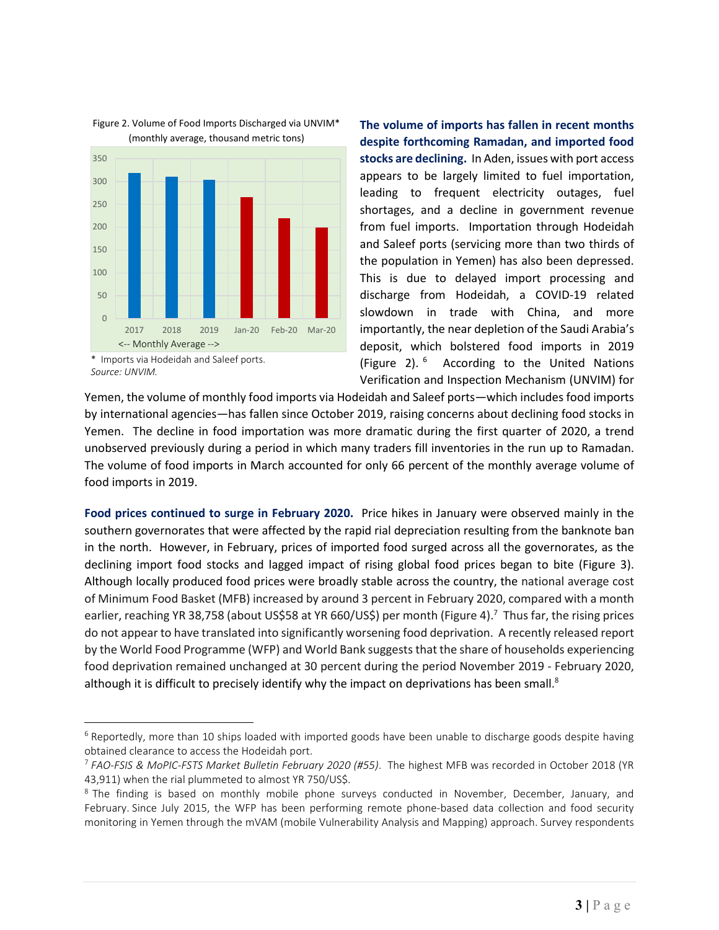

Figure 2. Volume of Food Imports Discharged via UNVIM\* (monthly average, thousand metric tons)

**The volume of imports has fallen in recent months despite forthcoming Ramadan, and imported food stocks are declining.** In Aden, issues with port access appears to be largely limited to fuel importation, leading to frequent electricity outages, fuel shortages, and a decline in government revenue from fuel imports. Importation through Hodeidah and Saleef ports (servicing more than two thirds of the population in Yemen) has also been depressed. This is due to delayed import processing and discharge from Hodeidah, a COVID-19 related slowdown in trade with China, and more importantly, the near depletion of the Saudi Arabia's deposit, which bolstered food imports in 2019 (Figure 2). <sup>6</sup> According to the United Nations Verification and Inspection Mechanism (UNVIM) for

Yemen, the volume of monthly food imports via Hodeidah and Saleef ports—which includes food imports by international agencies—has fallen since October 2019, raising concerns about declining food stocks in Yemen. The decline in food importation was more dramatic during the first quarter of 2020, a trend unobserved previously during a period in which many traders fill inventories in the run up to Ramadan. The volume of food imports in March accounted for only 66 percent of the monthly average volume of food imports in 2019.

**Food prices continued to surge in February 2020.** Price hikes in January were observed mainly in the southern governorates that were affected by the rapid rial depreciation resulting from the banknote ban in the north. However, in February, prices of imported food surged across all the governorates, as the declining import food stocks and lagged impact of rising global food prices began to bite (Figure 3). Although locally produced food prices were broadly stable across the country, the national average cost of Minimum Food Basket (MFB) increased by around 3 percent in February 2020, compared with a month earlier, reaching YR 38,758 (about US\$58 at YR 660/US\$) per month (Figure 4).<sup>7</sup> Thus far, the rising prices do not appear to have translated into significantly worsening food deprivation. A recently released report by the World Food Programme (WFP) and World Bank suggests that the share of households experiencing food deprivation remained unchanged at 30 percent during the period November 2019 - February 2020, although it is difficult to precisely identify why the impact on deprivations has been small.<sup>8</sup>

<sup>\*</sup> Imports via Hodeidah and Saleef ports. *Source: UNVIM.*

 $6$  Reportedly, more than 10 ships loaded with imported goods have been unable to discharge goods despite having obtained clearance to access the Hodeidah port.

<sup>7</sup> *FAO-FSIS & MoPIC-FSTS Market Bulletin February 2020 (#55)*. The highest MFB was recorded in October 2018 (YR 43,911) when the rial plummeted to almost YR 750/US\$.

<sup>&</sup>lt;sup>8</sup> The finding is based on monthly mobile phone surveys conducted in November, December, January, and February. Since July 2015, the WFP has been performing remote phone-based data collection and food security monitoring in Yemen through the mVAM (mobile Vulnerability Analysis and Mapping) approach. Survey respondents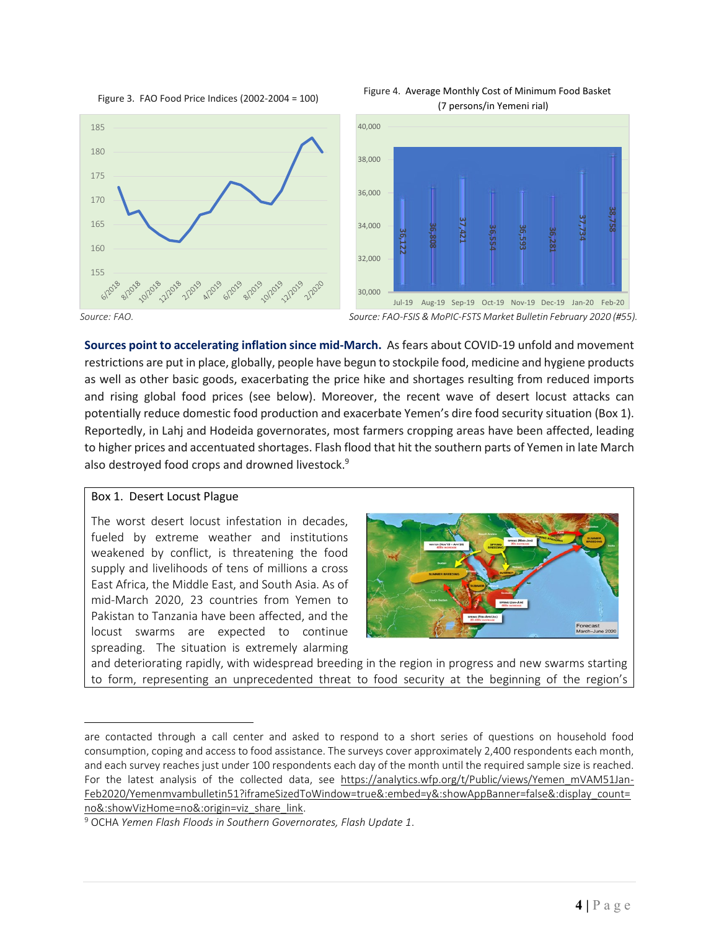







*Source: FAO. Source: FAO-FSIS & MoPIC-FSTS Market Bulletin February 2020 (#55).* 

**Sources point to accelerating inflation since mid-March.** As fears about COVID-19 unfold and movement restrictions are put in place, globally, people have begun to stockpile food, medicine and hygiene products as well as other basic goods, exacerbating the price hike and shortages resulting from reduced imports and rising global food prices (see below). Moreover, the recent wave of desert locust attacks can potentially reduce domestic food production and exacerbate Yemen's dire food security situation (Box 1). Reportedly, in Lahj and Hodeida governorates, most farmers cropping areas have been affected, leading to higher prices and accentuated shortages. Flash flood that hit the southern parts of Yemen in late March also destroyed food crops and drowned livestock.<sup>9</sup>

### Box 1. Desert Locust Plague

The worst desert locust infestation in decades, fueled by extreme weather and institutions weakened by conflict, is threatening the food supply and livelihoods of tens of millions a cross East Africa, the Middle East, and South Asia. As of mid-March 2020, 23 countries from Yemen to Pakistan to Tanzania have been affected, and the locust swarms are expected to continue spreading. The situation is extremely alarming



and deteriorating rapidly, with widespread breeding in the region in progress and new swarms starting to form, representing an unprecedented threat to food security at the beginning of the region's

are contacted through a call center and asked to respond to a short series of questions on household food consumption, coping and access to food assistance. The surveys cover approximately 2,400 respondents each month, and each survey reaches just under 100 respondents each day of the month until the required sample size is reached. For the latest analysis of the collected data, see [https://analytics.wfp.org/t/Public/views/Yemen\\_mVAM51Jan-](https://analytics.wfp.org/t/Public/views/Yemen_mVAM51Jan-Feb2020/Yemenmvambulletin51?iframeSizedToWindow=true&:embed=y&:showAppBanner=false&:display_count=no&:showVizHome=no&:origin=viz_share_link)[Feb2020/Yemenmvambulletin51?iframeSizedToWindow=true&:embed=y&:showAppBanner=false&:display\\_count=](https://analytics.wfp.org/t/Public/views/Yemen_mVAM51Jan-Feb2020/Yemenmvambulletin51?iframeSizedToWindow=true&:embed=y&:showAppBanner=false&:display_count=no&:showVizHome=no&:origin=viz_share_link) [no&:showVizHome=no&:origin=viz\\_share\\_link.](https://analytics.wfp.org/t/Public/views/Yemen_mVAM51Jan-Feb2020/Yemenmvambulletin51?iframeSizedToWindow=true&:embed=y&:showAppBanner=false&:display_count=no&:showVizHome=no&:origin=viz_share_link)

<sup>9</sup> OCHA *Yemen Flash Floods in Southern Governorates, Flash Update 1*.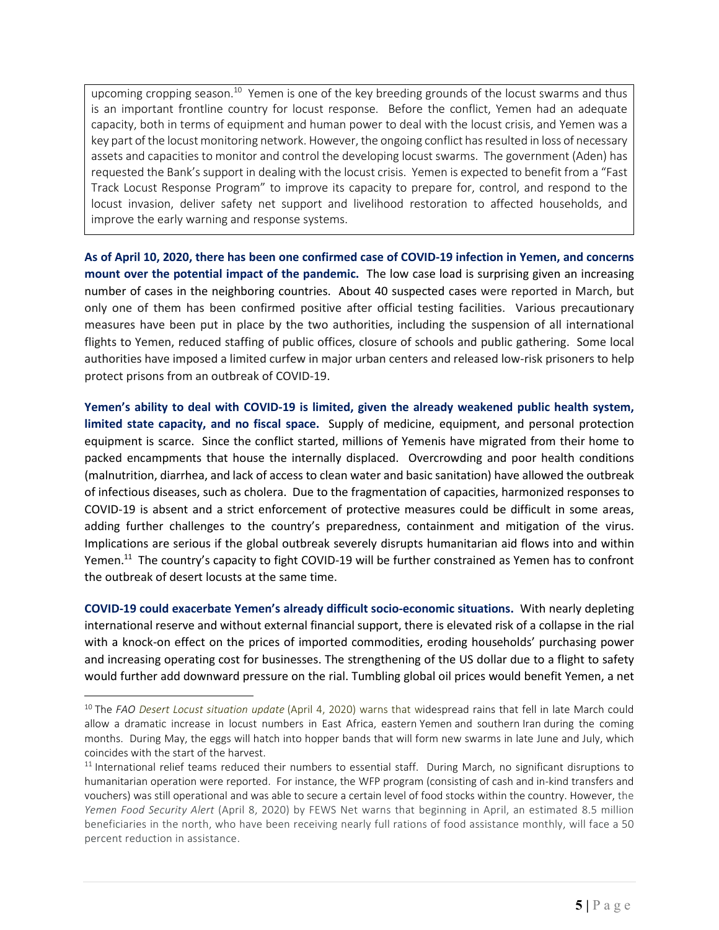upcoming cropping season.<sup>10</sup> Yemen is one of the key breeding grounds of the locust swarms and thus is an important frontline country for locust response. Before the conflict, Yemen had an adequate capacity, both in terms of equipment and human power to deal with the locust crisis, and Yemen was a key part of the locust monitoring network. However, the ongoing conflict has resulted in loss of necessary assets and capacities to monitor and control the developing locust swarms. The government (Aden) has requested the Bank's support in dealing with the locust crisis. Yemen is expected to benefit from a "Fast Track Locust Response Program" to improve its capacity to prepare for, control, and respond to the locust invasion, deliver safety net support and livelihood restoration to affected households, and improve the early warning and response systems.

As of April 10, 2020, there has been one confirmed case of COVID-19 infection in Yemen, and concerns **mount over the potential impact of the pandemic.** The low case load is surprising given an increasing number of cases in the neighboring countries. About 40 suspected cases were reported in March, but only one of them has been confirmed positive after official testing facilities. Various precautionary measures have been put in place by the two authorities, including the suspension of all international flights to Yemen, reduced staffing of public offices, closure of schools and public gathering. Some local authorities have imposed a limited curfew in major urban centers and released low-risk prisoners to help protect prisons from an outbreak of COVID-19.

**Yemen's ability to deal with COVID-19 is limited, given the already weakened public health system, limited state capacity, and no fiscal space.** Supply of medicine, equipment, and personal protection equipment is scarce. Since the conflict started, millions of Yemenis have migrated from their home to packed encampments that house the internally displaced. Overcrowding and poor health conditions (malnutrition, diarrhea, and lack of access to clean water and basic sanitation) have allowed the outbreak of infectious diseases, such as cholera. Due to the fragmentation of capacities, harmonized responses to COVID-19 is absent and a strict enforcement of protective measures could be difficult in some areas, adding further challenges to the country's preparedness, containment and mitigation of the virus. Implications are serious if the global outbreak severely disrupts humanitarian aid flows into and within Yemen.<sup>11</sup> The country's capacity to fight COVID-19 will be further constrained as Yemen has to confront the outbreak of desert locusts at the same time.

**COVID-19 could exacerbate Yemen's already difficult socio-economic situations.** With nearly depleting international reserve and without external financial support, there is elevated risk of a collapse in the rial with a knock-on effect on the prices of imported commodities, eroding households' purchasing power and increasing operating cost for businesses. The strengthening of the US dollar due to a flight to safety would further add downward pressure on the rial. Tumbling global oil prices would benefit Yemen, a net

<sup>10</sup> The *FAO Desert Locust situation update* (April 4, 2020) warns that widespread rains that fell in late March could allow a dramatic increase in locust numbers in East Africa, eastern Yemen and southern Iran during the coming months. During May, the eggs will hatch into hopper bands that will form new swarms in late June and July, which coincides with the start of the harvest.

 $11$  International relief teams reduced their numbers to essential staff. During March, no significant disruptions to humanitarian operation were reported. For instance, the WFP program (consisting of cash and in-kind transfers and vouchers) was still operational and was able to secure a certain level of food stocks within the country. However, the *Yemen Food Security Alert* (April 8, 2020) by FEWS Net warns that beginning in April, an estimated 8.5 million beneficiaries in the north, who have been receiving nearly full rations of food assistance monthly, will face a 50 percent reduction in assistance.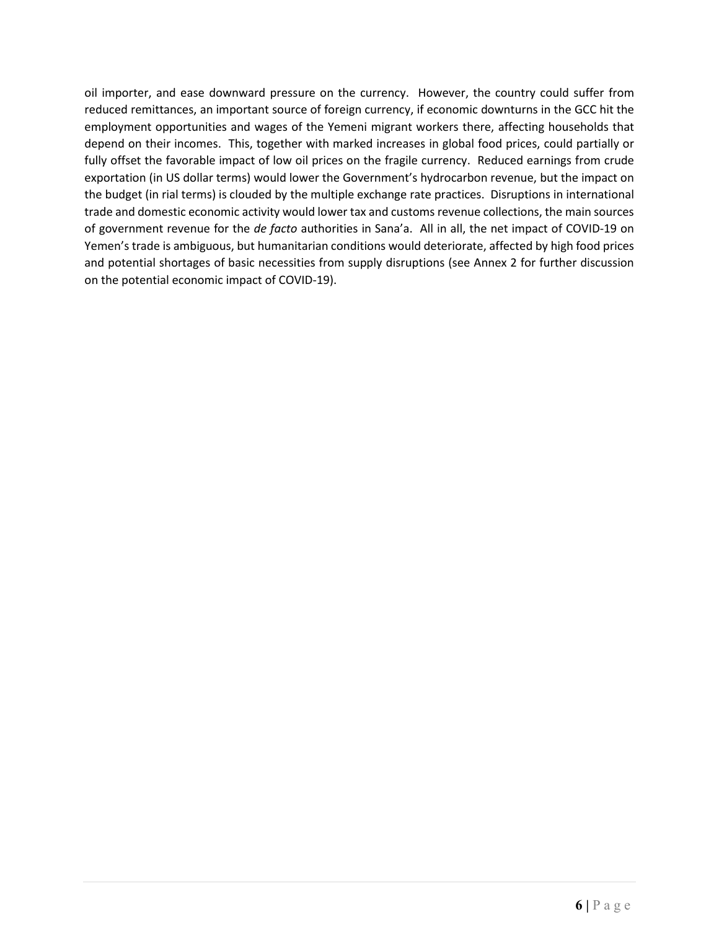oil importer, and ease downward pressure on the currency. However, the country could suffer from reduced remittances, an important source of foreign currency, if economic downturns in the GCC hit the employment opportunities and wages of the Yemeni migrant workers there, affecting households that depend on their incomes. This, together with marked increases in global food prices, could partially or fully offset the favorable impact of low oil prices on the fragile currency. Reduced earnings from crude exportation (in US dollar terms) would lower the Government's hydrocarbon revenue, but the impact on the budget (in rial terms) is clouded by the multiple exchange rate practices. Disruptions in international trade and domestic economic activity would lower tax and customs revenue collections, the main sources of government revenue for the *de facto* authorities in Sana'a. All in all, the net impact of COVID-19 on Yemen's trade is ambiguous, but humanitarian conditions would deteriorate, affected by high food prices and potential shortages of basic necessities from supply disruptions (see Annex 2 for further discussion on the potential economic impact of COVID-19).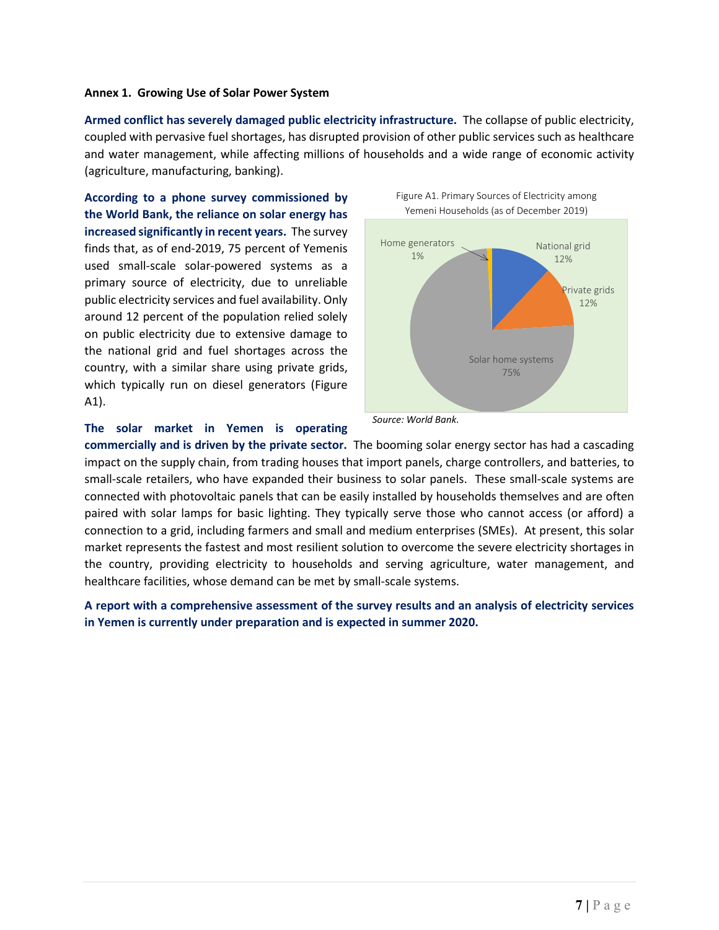#### **Annex 1. Growing Use of Solar Power System**

**Armed conflict has severely damaged public electricity infrastructure.** The collapse of public electricity, coupled with pervasive fuel shortages, has disrupted provision of other public services such as healthcare and water management, while affecting millions of households and a wide range of economic activity (agriculture, manufacturing, banking).

**According to a phone survey commissioned by the World Bank, the reliance on solar energy has increased significantly in recent years.** The survey finds that, as of end-2019, 75 percent of Yemenis used small-scale solar-powered systems as a primary source of electricity, due to unreliable public electricity services and fuel availability. Only around 12 percent of the population relied solely on public electricity due to extensive damage to the national grid and fuel shortages across the country, with a similar share using private grids, which typically run on diesel generators (Figure A1).



# **The solar market in Yemen is operating**

**commercially and is driven by the private sector.** The booming solar energy sector has had a cascading impact on the supply chain, from trading houses that import panels, charge controllers, and batteries, to small-scale retailers, who have expanded their business to solar panels. These small-scale systems are connected with photovoltaic panels that can be easily installed by households themselves and are often paired with solar lamps for basic lighting. They typically serve those who cannot access (or afford) a connection to a grid, including farmers and small and medium enterprises (SMEs). At present, this solar market represents the fastest and most resilient solution to overcome the severe electricity shortages in the country, providing electricity to households and serving agriculture, water management, and healthcare facilities, whose demand can be met by small-scale systems.

 *Source: World Bank.*

**A report with a comprehensive assessment of the survey results and an analysis of electricity services in Yemen is currently under preparation and is expected in summer 2020.**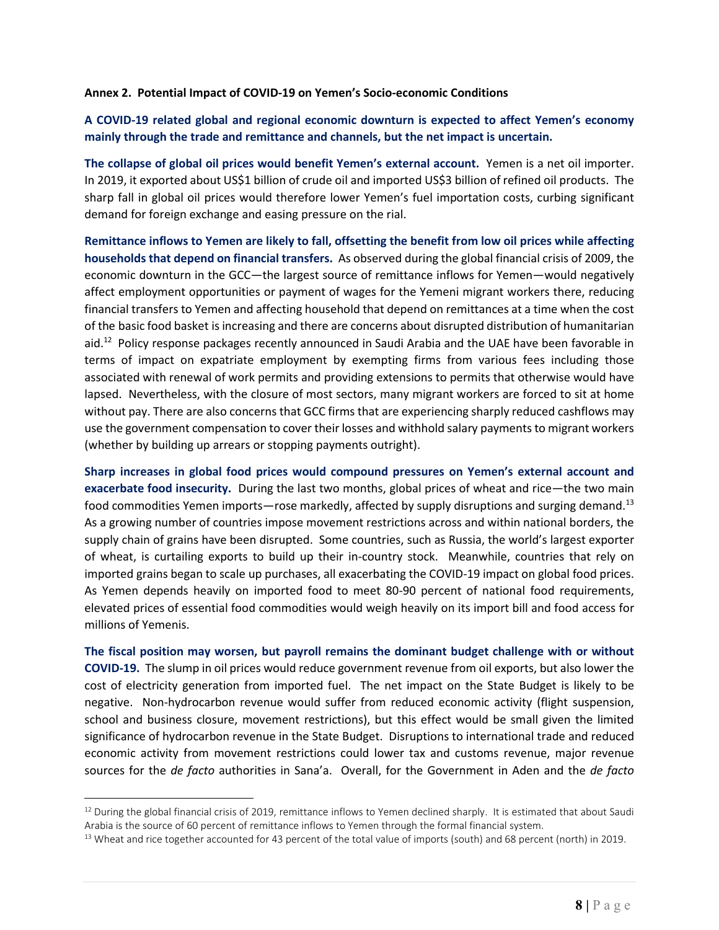# **Annex 2. Potential Impact of COVID-19 on Yemen's Socio-economic Conditions**

# **A COVID-19 related global and regional economic downturn is expected to affect Yemen's economy mainly through the trade and remittance and channels, but the net impact is uncertain.**

**The collapse of global oil prices would benefit Yemen's external account.** Yemen is a net oil importer. In 2019, it exported about US\$1 billion of crude oil and imported US\$3 billion of refined oil products. The sharp fall in global oil prices would therefore lower Yemen's fuel importation costs, curbing significant demand for foreign exchange and easing pressure on the rial.

Remittance inflows to Yemen are likely to fall, offsetting the benefit from low oil prices while affecting **households that depend on financial transfers.** As observed during the global financial crisis of 2009, the economic downturn in the GCC—the largest source of remittance inflows for Yemen—would negatively affect employment opportunities or payment of wages for the Yemeni migrant workers there, reducing financial transfers to Yemen and affecting household that depend on remittances at a time when the cost of the basic food [basket](https://www.worldbank.org/en/country/yemen/publication/yemen-monthly-economic-update-february-2020) is increasing and there are concerns about disrupted distribution of humanitarian aid.<sup>12</sup> Policy response packages recently announced in Saudi Arabia and the UAE have been favorable in terms of impact on expatriate employment by exempting firms from various fees including those associated with renewal of work permits and providing extensions to permits that otherwise would have lapsed. Nevertheless, with the closure of most sectors, many migrant workers are forced to sit at home without pay. There are also concerns that GCC firms that are experiencing sharply reduced cashflows may use the government compensation to cover their losses and withhold salary payments to migrant workers (whether by building up arrears or stopping payments outright).

**Sharp increases in global food prices would compound pressures on Yemen's external account and exacerbate food insecurity.** During the last two months, global prices of wheat and rice—the two main food commodities Yemen imports—rose markedly, affected by supply disruptions and surging demand.<sup>13</sup> As a growing number of countries impose movement restrictions across and within national borders, the supply chain of grains have been disrupted. Some countries, such as Russia, the world's largest exporter of wheat, is curtailing exports to build up their in-country stock. Meanwhile, countries that rely on imported grains began to scale up purchases, all exacerbating the COVID-19 impact on global food prices. As Yemen depends heavily on imported food to meet 80-90 percent of national food requirements, elevated prices of essential food commodities would weigh heavily on its import bill and food access for millions of Yemenis.

**The fiscal position may worsen, but payroll remains the dominant budget challenge with or without COVID-19.** The slump in oil prices would reduce government revenue from oil exports, but also lower the cost of electricity generation from imported fuel. The net impact on the State Budget is likely to be negative. Non-hydrocarbon revenue would suffer from reduced economic activity (flight suspension, school and business closure, movement restrictions), but this effect would be small given the limited significance of hydrocarbon revenue in the State Budget. Disruptions to international trade and reduced economic activity from movement restrictions could lower tax and customs revenue, major revenue sources for the *de facto* authorities in Sana'a. Overall, for the Government in Aden and the *de facto*

 $12$  During the global financial crisis of 2019, remittance inflows to Yemen declined sharply. It is estimated that about Saudi Arabia is the source of 60 percent of remittance inflows to Yemen through the formal financial system.

<sup>&</sup>lt;sup>13</sup> Wheat and rice together accounted for 43 percent of the total value of imports (south) and 68 percent (north) in 2019.